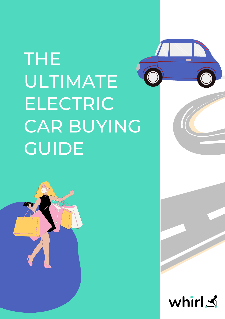# THE ULTIMATE ELECTRIC CAR BUYING GUIDE





#### whirl s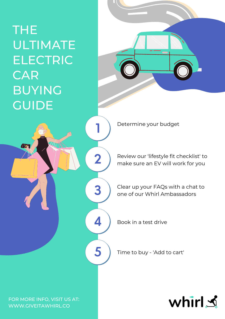#### THE ULTIMATE ELECTRIC CAR BUYING **GUIDE**

5 Time to buy - 'Add to cart'



Review our 'lifestyle fit checklist' to make sure an EV will work for you





Clear up your FAQs with a chat to one of our Whirl Ambassadors

Book in a test drive

Determine your budget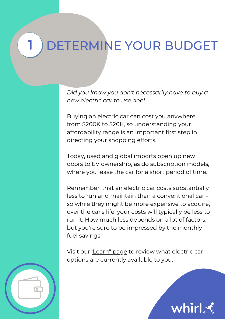### DETERMINE YOUR BUDGET

*Did you know you don't necessarily have to buy a new electric car to use one!*

Buying an electric car can cost you anywhere from \$200K to \$20K, so understanding your affordability range is an important first step in directing your shopping efforts.

Today, used and global imports open up new doors to EV ownership, as do subscription models,

where you lease the car for a short period of time.

Visit our <u>['Learn"](https://www.giveitawhirl.co/learn-about-electric-cars-ev) page</u> to review what electric car options are currently available to you.

whirl S



Remember, that an electric car costs substantially less to run and maintain than a conventional car so while they might be more expensive to acquire, over the car's life, your costs will typically be less to run it. How much less depends on a lot of factors, but you're sure to be impressed by the monthly fuel savings!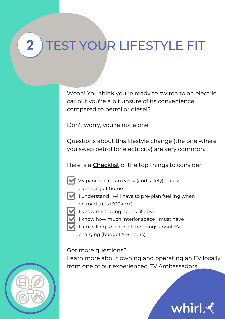electricity at home

charging (budget 5-6 hours)

#### 2 ) TEST YOUR LIFESTYLE FIT

Woah! You think you're ready to switch to an electric car but you're a bit unsure of its convenience compared to petrol or diesel?

Don't worry, you're not alone.

Questions about this lifestyle change (the one where you swap petrol for electricity) are very common.

Here is a **Checklist** of the top things to consider:





- - I understand I will have to pre-plan fuelling when
	- on road trips (300km+)
	- I know my towing needs (if any)
		- I know how much interior space I must have
	- I am willing to learn all the things about EV

Got more questions?

Learn more about owning and operating an EV locally from one of our experienced EV Ambassadors.

whirl S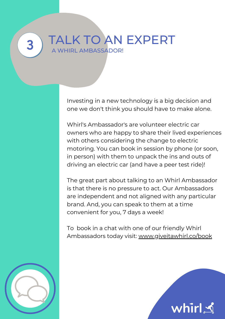## 3 TALK TO AN EXPERT

Investing in a new technology is a big decision and one we don't think you should have to make alone.

Whirl's Ambassador's are volunteer electric car owners who are happy to share their lived experiences with others considering the change to electric motoring. You can book in session by phone (or soon, in person) with them to unpack the ins and outs of driving an electric car (and have a peer test ride)!

The great part about talking to an Whirl Ambassador is that there is no pressure to act. Our Ambassadors are independent and not aligned with any particular brand. And, you can speak to them at a time convenient for you, 7 days a week!

To book in a chat with one of our friendly Whirl Ambassadors today visit: [www.giveitawhirl.co/book](http://www.giveitawhirl.co/book)

whirl S

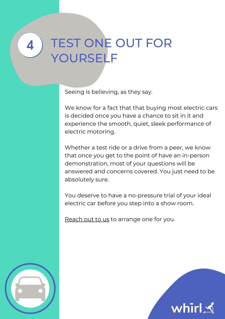Seeing is believing, as they say.

We know for a fact that that buying most electric cars is decided once you have a chance to sit in it and experience the smooth, quiet, sleek performance of electric motoring.

Whether a test ride or a drive from a peer, we know that once you get to the point of have an in-person demonstration, most of your questions will be answered and concerns covered. You just need to be absolutely sure.

You deserve to have a no-pressure trial of your ideal electric car before you step into a show room.

[Reach](https://www.giveitawhirl.co/contact) out to us to arrange one for you.





#### 4 TEST ONE OUT FOR YOURSELF